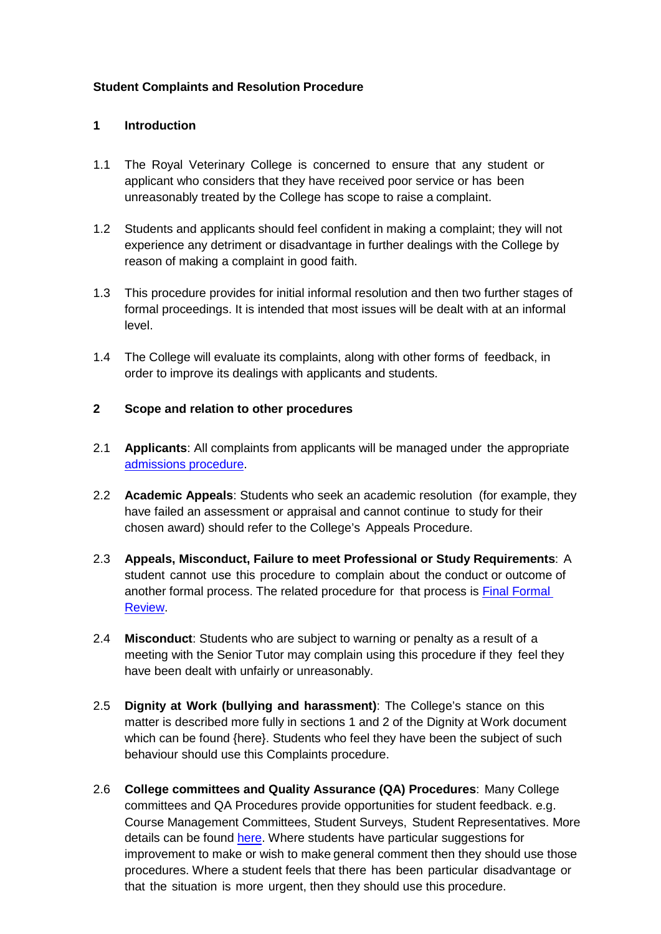## **Student Complaints and Resolution Procedure**

#### **1 Introduction**

- 1.1 The Royal Veterinary College is concerned to ensure that any student or applicant who considers that they have received poor service or has been unreasonably treated by the College has scope to raise a complaint.
- 1.2 Students and applicants should feel confident in making a complaint; they will not experience any detriment or disadvantage in further dealings with the College by reason of making a complaint in good faith.
- 1.3 This procedure provides for initial informal resolution and then two further stages of formal proceedings. It is intended that most issues will be dealt with at an informal level.
- 1.4 The College will evaluate its complaints, along with other forms of feedback, in order to improve its dealings with applicants and students.

#### **2 Scope and relation to other procedures**

- 2.1 **Applicants**: All complaints from applicants will be managed under the appropriate [admissions](http://www.rvc.ac.uk/Media/Default/About/Academic%20Quality,%20Regulations%20and%20Procedures/General/2016-17%20Documents/admissions-policy-taught-courses.pdf) procedure.
- 2.2 **Academic Appeals**: Students who seek an academic resolution (for example, they have failed an assessment or appraisal and cannot continue to study for their chosen award) should refer to the College's Appeals Procedure.
- 2.3 **Appeals, Misconduct, Failure to meet Professional or Study Requirements**: A student cannot use this procedure to complain about the conduct or outcome of another formal process. The related procedure for that process is [Final Formal](https://www.rvc.ac.uk/Media/Default/About/Academic%20Quality,%20Regulations%20and%20Procedures/General/Final%20Formal%20Review%20committee%20version.docx) [Review.](https://www.rvc.ac.uk/Media/Default/About/Academic%20Quality,%20Regulations%20and%20Procedures/General/Final%20Formal%20Review%20committee%20version.docx)
- 2.4 **Misconduct**: Students who are subject to warning or penalty as a result of a meeting with the Senior Tutor may complain using this procedure if they feel they have been dealt with unfairly or unreasonably.
- 2.5 **Dignity at Work (bullying and harassment)**: The College's stance on this matter is described more fully in sections 1 and 2 of the Dignity at Work document which can be found {here}. Students who feel they have been the subject of such behaviour should use this Complaints procedure.
- 2.6 **College committees and Quality Assurance (QA) Procedures**: Many College committees and QA Procedures provide opportunities for student feedback. e.g. Course Management Committees, Student Surveys, Student Representatives. More details can be found [here.](https://www.rvc.ac.uk/about/the-rvc/academic-quality-regulations-procedures/student-engagement) Where students have particular suggestions for improvement to make or wish to make general comment then they should use those procedures. Where a student feels that there has been particular disadvantage or that the situation is more urgent, then they should use this procedure.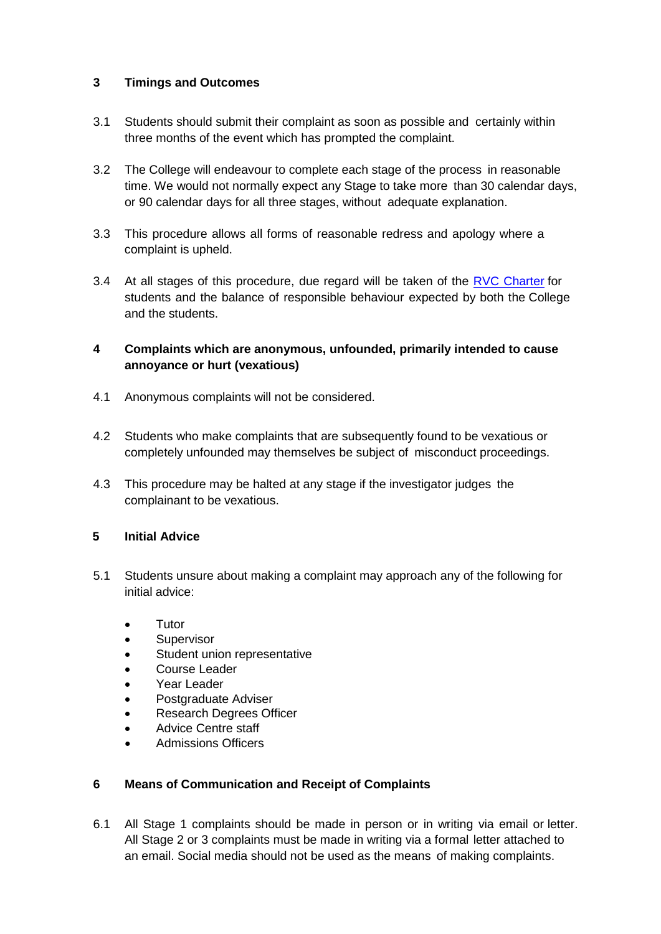# **3 Timings and Outcomes**

- 3.1 Students should submit their complaint as soon as possible and certainly within three months of the event which has prompted the complaint.
- 3.2 The College will endeavour to complete each stage of the process in reasonable time. We would not normally expect any Stage to take more than 30 calendar days, or 90 calendar days for all three stages, without adequate explanation.
- 3.3 This procedure allows all forms of reasonable redress and apology where a complaint is upheld.
- 3.4 At all stages of this procedure, due regard will be taken of the RVC [Charter](http://www.rvc.ac.uk/Media/Default/About/Academic%20Quality,%20Regulations%20and%20Procedures/General/THE%20ROYAL%20VETERINARY%20COLLEGE%20CHARTER.pdf) for students and the balance of responsible behaviour expected by both the College and the students.
- **4 Complaints which are anonymous, unfounded, primarily intended to cause annoyance or hurt (vexatious)**
- 4.1 Anonymous complaints will not be considered.
- 4.2 Students who make complaints that are subsequently found to be vexatious or completely unfounded may themselves be subject of misconduct proceedings.
- 4.3 This procedure may be halted at any stage if the investigator judges the complainant to be vexatious.

# <span id="page-1-0"></span>**5 Initial Advice**

- 5.1 Students unsure about making a complaint may approach any of the following for initial advice:
	- Tutor
	- **Supervisor**
	- Student union representative
	- Course Leader
	- Year Leader
	- Postgraduate Adviser
	- Research Degrees Officer
	- Advice Centre staff
	- Admissions Officers

#### **6 Means of Communication and Receipt of Complaints**

6.1 All Stage 1 complaints should be made in person or in writing via email or letter. All Stage 2 or 3 complaints must be made in writing via a formal letter attached to an email. Social media should not be used as the means of making complaints.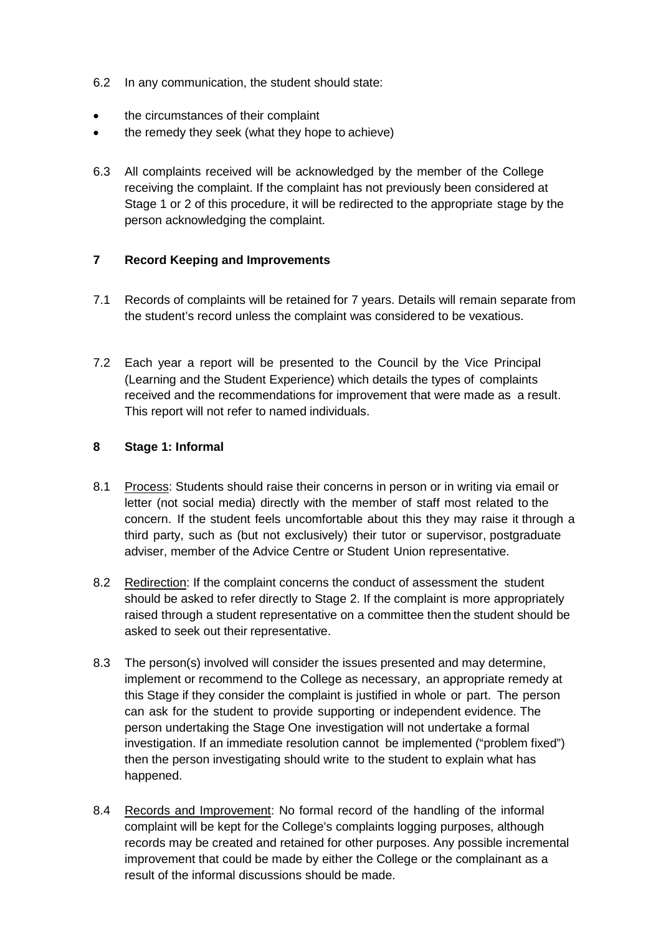- 6.2 In any communication, the student should state:
- the circumstances of their complaint
- the remedy they seek (what they hope to achieve)
- 6.3 All complaints received will be acknowledged by the member of the College receiving the complaint. If the complaint has not previously been considered at Stage 1 or 2 of this procedure, it will be redirected to the appropriate stage by the person acknowledging the complaint.

### **7 Record Keeping and Improvements**

- 7.1 Records of complaints will be retained for 7 years. Details will remain separate from the student's record unless the complaint was considered to be vexatious.
- 7.2 Each year a report will be presented to the Council by the Vice Principal (Learning and the Student Experience) which details the types of complaints received and the recommendations for improvement that were made as a result. This report will not refer to named individuals.

#### **8 Stage 1: Informal**

- 8.1 Process: Students should raise their concerns in person or in writing via email or letter (not social media) directly with the member of staff most related to the concern. If the student feels uncomfortable about this they may raise it through a third party, such as (but not exclusively) their tutor or supervisor, postgraduate adviser, member of the Advice Centre or Student Union representative.
- 8.2 Redirection: If the complaint concerns the conduct of assessment the student should be asked to refer directly to Stage 2. If the complaint is more appropriately raised through a student representative on a committee then the student should be asked to seek out their representative.
- 8.3 The person(s) involved will consider the issues presented and may determine, implement or recommend to the College as necessary, an appropriate remedy at this Stage if they consider the complaint is justified in whole or part. The person can ask for the student to provide supporting or independent evidence. The person undertaking the Stage One investigation will not undertake a formal investigation. If an immediate resolution cannot be implemented ("problem fixed") then the person investigating should write to the student to explain what has happened.
- 8.4 Records and Improvement: No formal record of the handling of the informal complaint will be kept for the College's complaints logging purposes, although records may be created and retained for other purposes. Any possible incremental improvement that could be made by either the College or the complainant as a result of the informal discussions should be made.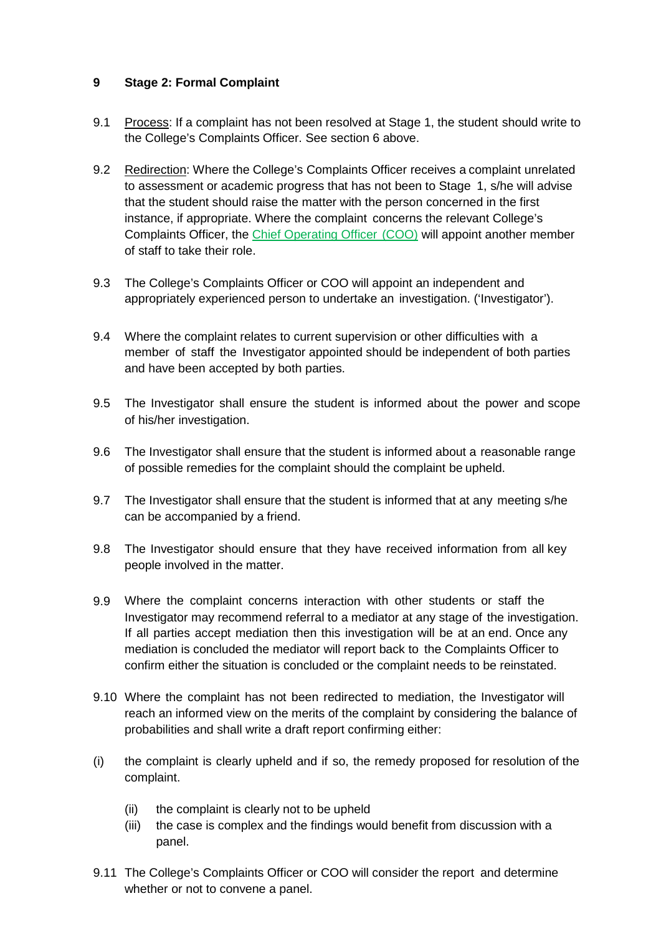# **9 Stage 2: Formal Complaint**

- 9.1 Process: If a complaint has not been resolved at [Stage 1,](#page-1-0) the student should write to the College's Complaints Officer. See section 6 above.
- 9.2 Redirection: Where the College's Complaints Officer receives a complaint unrelated to assessment or academic progress that has not been to Stage 1, s/he will advise that the student should raise the matter with the person concerned in the first instance, if appropriate. Where the complaint concerns the relevant College's Complaints Officer, the [Chief Operating Officer](#page-3-0) (COO) will appoint another member of staff to take their role.
- <span id="page-3-0"></span>9.3 The College's Complaints Officer or COO will appoint an independent and appropriately experienced person to undertake an investigation. ('Investigator').
- 9.4 Where the complaint relates to current supervision or other difficulties with a member of staff the Investigator appointed should be independent of both parties and have been accepted by both parties.
- 9.5 The Investigator shall ensure the student is informed about the power and scope of his/her investigation.
- 9.6 The Investigator shall ensure that the student is informed about a reasonable range of possible remedies for the complaint should the complaint be upheld.
- 9.7 The Investigator shall ensure that the student is informed that at any meeting s/he can be accompanied by a friend.
- 9.8 The Investigator should ensure that they have received information from all key people involved in the matter.
- 9.9 Where the complaint concerns interaction with other students or staff the Investigator may recommend referral to a mediator at any stage of the investigation. If all parties accept mediation then this investigation will be at an end. Once any mediation is concluded the mediator will report back to the Complaints Officer to confirm either the situation is concluded or the complaint needs to be reinstated.
- 9.10 Where the complaint has not been redirected to mediation, the Investigator will reach an informed view on the merits of the complaint by considering the balance of probabilities and shall write a draft report confirming either:
- (i) the complaint is clearly upheld and if so, the remedy proposed for resolution of the complaint.
	- (ii) the complaint is clearly not to be upheld
	- (iii) the case is complex and the findings would benefit from discussion with a panel.
- 9.11 The College's Complaints Officer or COO will consider the report and determine whether or not to convene a panel.